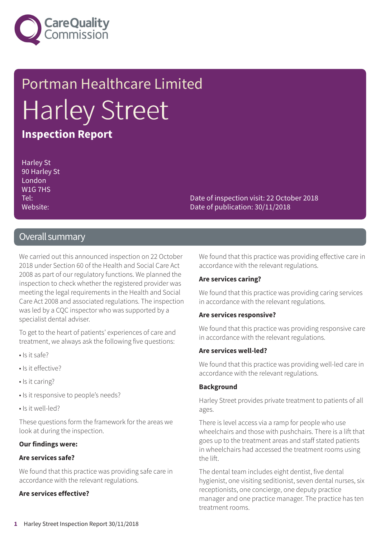

# Portman Healthcare Limited Harley Street **Inspection Report**

Harley St 90 Harley St London W1G 7HS Tel: Website:

Date of inspection visit: 22 October 2018 Date of publication: 30/11/2018

### Overall summary

We carried out this announced inspection on 22 October 2018 under Section 60 of the Health and Social Care Act 2008 as part of our regulatory functions. We planned the inspection to check whether the registered provider was meeting the legal requirements in the Health and Social Care Act 2008 and associated regulations. The inspection was led by a CQC inspector who was supported by a specialist dental adviser.

To get to the heart of patients' experiences of care and treatment, we always ask the following five questions:

- Is it safe?
- Is it effective?
- Is it caring?
- Is it responsive to people's needs?
- Is it well-led?

These questions form the framework for the areas we look at during the inspection.

#### **Our findings were:**

#### **Are services safe?**

We found that this practice was providing safe care in accordance with the relevant regulations.

#### **Are services effective?**

We found that this practice was providing effective care in accordance with the relevant regulations.

#### **Are services caring?**

We found that this practice was providing caring services in accordance with the relevant regulations.

#### **Are services responsive?**

We found that this practice was providing responsive care in accordance with the relevant regulations.

#### **Are services well-led?**

We found that this practice was providing well-led care in accordance with the relevant regulations.

#### **Background**

Harley Street provides private treatment to patients of all ages.

There is level access via a ramp for people who use wheelchairs and those with pushchairs. There is a lift that goes up to the treatment areas and staff stated patients in wheelchairs had accessed the treatment rooms using the lift.

The dental team includes eight dentist, five dental hygienist, one visiting seditionist, seven dental nurses, six receptionists, one concierge, one deputy practice manager and one practice manager. The practice has ten treatment rooms.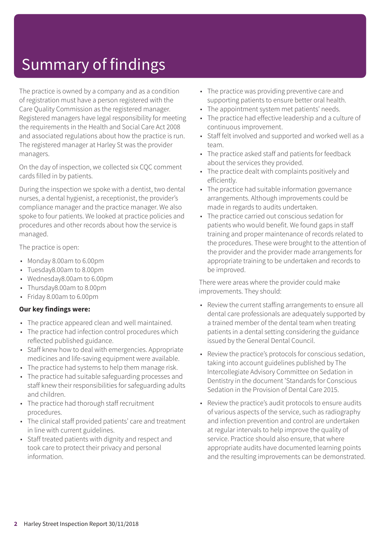## Summary of findings

The practice is owned by a company and as a condition of registration must have a person registered with the Care Quality Commission as the registered manager. Registered managers have legal responsibility for meeting the requirements in the Health and Social Care Act 2008 and associated regulations about how the practice is run. The registered manager at Harley St was the provider managers.

On the day of inspection, we collected six CQC comment cards filled in by patients.

During the inspection we spoke with a dentist, two dental nurses, a dental hygienist, a receptionist, the provider's compliance manager and the practice manager. We also spoke to four patients. We looked at practice policies and procedures and other records about how the service is managed.

The practice is open:

- Monday 8.00am to 6.00pm
- Tuesday8.00am to 8.00pm
- Wednesday8.00am to 6.00pm
- Thursday8.00am to 8.00pm
- Friday 8.00am to 6.00pm

#### **Our key findings were:**

- The practice appeared clean and well maintained.
- The practice had infection control procedures which reflected published guidance.
- Staff knew how to deal with emergencies. Appropriate medicines and life-saving equipment were available.
- The practice had systems to help them manage risk.
- The practice had suitable safeguarding processes and staff knew their responsibilities for safeguarding adults and children.
- The practice had thorough staff recruitment procedures.
- The clinical staff provided patients' care and treatment in line with current guidelines.
- Staff treated patients with dignity and respect and took care to protect their privacy and personal information.
- The practice was providing preventive care and supporting patients to ensure better oral health.
- The appointment system met patients' needs.
- The practice had effective leadership and a culture of continuous improvement.
- Staff felt involved and supported and worked well as a team.
- The practice asked staff and patients for feedback about the services they provided.
- The practice dealt with complaints positively and efficiently.
- The practice had suitable information governance arrangements. Although improvements could be made in regards to audits undertaken.
- The practice carried out conscious sedation for patients who would benefit. We found gaps in staff training and proper maintenance of records related to the procedures. These were brought to the attention of the provider and the provider made arrangements for appropriate training to be undertaken and records to be improved.

There were areas where the provider could make improvements. They should:

- Review the current staffing arrangements to ensure all dental care professionals are adequately supported by a trained member of the dental team when treating patients in a dental setting considering the guidance issued by the General Dental Council.
- Review the practice's protocols for conscious sedation, taking into account guidelines published by The Intercollegiate Advisory Committee on Sedation in Dentistry in the document 'Standards for Conscious Sedation in the Provision of Dental Care 2015.
- Review the practice's audit protocols to ensure audits of various aspects of the service, such as radiography and infection prevention and control are undertaken at regular intervals to help improve the quality of service. Practice should also ensure, that where appropriate audits have documented learning points and the resulting improvements can be demonstrated.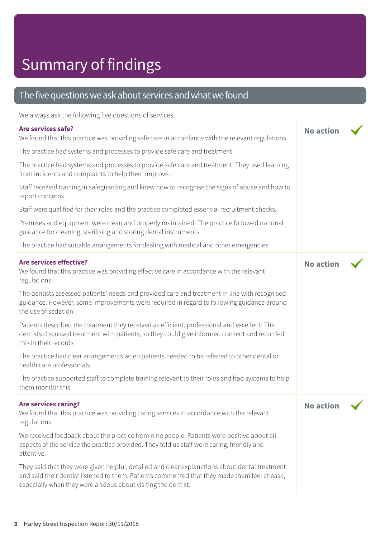## Summary of findings

### The five questions we ask about services and what we found

We always ask the following five questions of services.

#### **Are services safe?**

| The dividys dan the following five questions of services.                                                                                                                                                                                                        |                  |  |
|------------------------------------------------------------------------------------------------------------------------------------------------------------------------------------------------------------------------------------------------------------------|------------------|--|
| Are services safe?<br>We found that this practice was providing safe care in accordance with the relevant regulations.                                                                                                                                           | <b>No action</b> |  |
| The practice had systems and processes to provide safe care and treatment.                                                                                                                                                                                       |                  |  |
| The practice had systems and processes to provide safe care and treatment. They used learning<br>from incidents and complaints to help them improve.                                                                                                             |                  |  |
| Staff received training in safeguarding and knew how to recognise the signs of abuse and how to<br>report concerns.                                                                                                                                              |                  |  |
| Staff were qualified for their roles and the practice completed essential recruitment checks.                                                                                                                                                                    |                  |  |
| Premises and equipment were clean and properly maintained. The practice followed national<br>guidance for cleaning, sterilising and storing dental instruments.                                                                                                  |                  |  |
| The practice had suitable arrangements for dealing with medical and other emergencies.                                                                                                                                                                           |                  |  |
| Are services effective?<br>We found that this practice was providing effective care in accordance with the relevant<br>regulations                                                                                                                               | <b>No action</b> |  |
| The dentists assessed patients' needs and provided care and treatment in line with recognised<br>guidance. However, some improvements were required in regard to following guidance around<br>the use of sedation.                                               |                  |  |
| Patients described the treatment they received as efficient, professional and excellent. The<br>dentists discussed treatment with patients, so they could give informed consent and recorded<br>this in their records.                                           |                  |  |
| The practice had clear arrangements when patients needed to be referred to other dental or<br>health care professionals.                                                                                                                                         |                  |  |
| The practice supported staff to complete training relevant to their roles and had systems to help<br>them monitor this.                                                                                                                                          |                  |  |
| <b>Are services caring?</b><br>We found that this practice was providing caring services in accordance with the relevant<br>regulations.                                                                                                                         | <b>No action</b> |  |
| We received feedback about the practice from nine people. Patients were positive about all<br>aspects of the service the practice provided. They told us staff were caring, friendly and<br>attentive.                                                           |                  |  |
| They said that they were given helpful, detailed and clear explanations about dental treatment<br>and said their dentist listened to them. Patients commented that they made them feel at ease,<br>especially when they were anxious about visiting the dentist. |                  |  |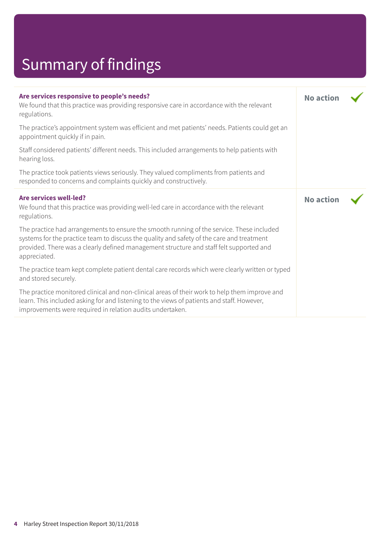# Summary of findings

| Are services responsive to people's needs?<br>We found that this practice was providing responsive care in accordance with the relevant<br>regulations.                                                                                                                                           | <b>No action</b> |  |
|---------------------------------------------------------------------------------------------------------------------------------------------------------------------------------------------------------------------------------------------------------------------------------------------------|------------------|--|
| The practice's appointment system was efficient and met patients' needs. Patients could get an<br>appointment quickly if in pain.                                                                                                                                                                 |                  |  |
| Staff considered patients' different needs. This included arrangements to help patients with<br>hearing loss.                                                                                                                                                                                     |                  |  |
| The practice took patients views seriously. They valued compliments from patients and<br>responded to concerns and complaints quickly and constructively.                                                                                                                                         |                  |  |
| Are services well-led?<br>We found that this practice was providing well-led care in accordance with the relevant<br>regulations.                                                                                                                                                                 | <b>No action</b> |  |
| The practice had arrangements to ensure the smooth running of the service. These included<br>systems for the practice team to discuss the quality and safety of the care and treatment<br>provided. There was a clearly defined management structure and staff felt supported and<br>appreciated. |                  |  |
| The practice team kept complete patient dental care records which were clearly written or typed<br>and stored securely.                                                                                                                                                                           |                  |  |
| The practice monitored clinical and non-clinical areas of their work to help them improve and<br>learn. This included asking for and listening to the views of patients and staff. However,<br>improvements were required in relation audits undertaken.                                          |                  |  |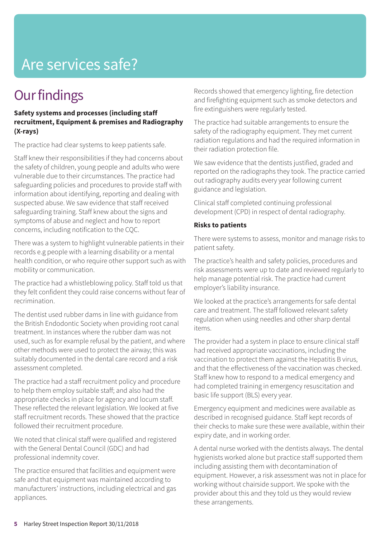## Are services safe?

### **Our findings**

#### **Safety systems and processes (including staff recruitment, Equipment & premises and Radiography (X-rays)**

The practice had clear systems to keep patients safe.

Staff knew their responsibilities if they had concerns about the safety of children, young people and adults who were vulnerable due to their circumstances. The practice had safeguarding policies and procedures to provide staff with information about identifying, reporting and dealing with suspected abuse. We saw evidence that staff received safeguarding training. Staff knew about the signs and symptoms of abuse and neglect and how to report concerns, including notification to the CQC.

There was a system to highlight vulnerable patients in their records e.g people with a learning disability or a mental health condition, or who require other support such as with mobility or communication.

The practice had a whistleblowing policy. Staff told us that they felt confident they could raise concerns without fear of recrimination.

The dentist used rubber dams in line with guidance from the British Endodontic Society when providing root canal treatment. In instances where the rubber dam was not used, such as for example refusal by the patient, and where other methods were used to protect the airway; this was suitably documented in the dental care record and a risk assessment completed.

The practice had a staff recruitment policy and procedure to help them employ suitable staff; and also had the appropriate checks in place for agency and locum staff. These reflected the relevant legislation. We looked at five staff recruitment records. These showed that the practice followed their recruitment procedure.

We noted that clinical staff were qualified and registered with the General Dental Council (GDC) and had professional indemnity cover.

The practice ensured that facilities and equipment were safe and that equipment was maintained according to manufacturers' instructions, including electrical and gas appliances.

Records showed that emergency lighting, fire detection and firefighting equipment such as smoke detectors and fire extinguishers were regularly tested.

The practice had suitable arrangements to ensure the safety of the radiography equipment. They met current radiation regulations and had the required information in their radiation protection file.

We saw evidence that the dentists justified, graded and reported on the radiographs they took. The practice carried out radiography audits every year following current guidance and legislation.

Clinical staff completed continuing professional development (CPD) in respect of dental radiography.

#### **Risks to patients**

There were systems to assess, monitor and manage risks to patient safety.

The practice's health and safety policies, procedures and risk assessments were up to date and reviewed regularly to help manage potential risk. The practice had current employer's liability insurance.

We looked at the practice's arrangements for safe dental care and treatment. The staff followed relevant safety regulation when using needles and other sharp dental items.

The provider had a system in place to ensure clinical staff had received appropriate vaccinations, including the vaccination to protect them against the Hepatitis B virus, and that the effectiveness of the vaccination was checked. Staff knew how to respond to a medical emergency and had completed training in emergency resuscitation and basic life support (BLS) every year.

Emergency equipment and medicines were available as described in recognised guidance. Staff kept records of their checks to make sure these were available, within their expiry date, and in working order.

A dental nurse worked with the dentists always. The dental hygienists worked alone but practice staff supported them including assisting them with decontamination of equipment. However, a risk assessment was not in place for working without chairside support. We spoke with the provider about this and they told us they would review these arrangements.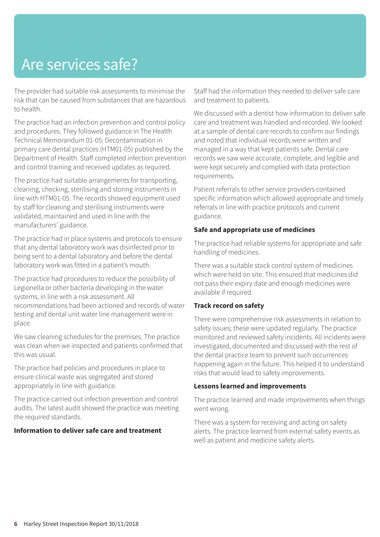### Are services safe?

The provider had suitable risk assessments to minimise the risk that can be caused from substances that are hazardous to health.

The practice had an infection prevention and control policy and procedures. They followed guidance in The Health Technical Memorandum 01-05: Decontamination in primary care dental practices (HTM01-05) published by the Department of Health. Staff completed infection prevention and control training and received updates as required.

The practice had suitable arrangements for transporting, cleaning, checking, sterilising and storing instruments in line with HTM01-05. The records showed equipment used by staff for cleaning and sterilising instruments were validated, maintained and used in line with the manufacturers' guidance.

The practice had in place systems and protocols to ensure that any dental laboratory work was disinfected prior to being sent to a dental laboratory and before the dental laboratory work was fitted in a patient's mouth.

The practice had procedures to reduce the possibility of Legionella or other bacteria developing in the water systems, in line with a risk assessment. All recommendations had been actioned and records of water testing and dental unit water line management were in place.

We saw cleaning schedules for the premises. The practice was clean when we inspected and patients confirmed that this was usual.

The practice had policies and procedures in place to ensure clinical waste was segregated and stored appropriately in line with guidance.

The practice carried out infection prevention and control audits. The latest audit showed the practice was meeting the required standards.

#### **Information to deliver safe care and treatment**

Staff had the information they needed to deliver safe care and treatment to patients.

We discussed with a dentist how information to deliver safe care and treatment was handled and recorded. We looked at a sample of dental care records to confirm our findings and noted that individual records were written and managed in a way that kept patients safe. Dental care records we saw were accurate, complete, and legible and were kept securely and complied with data protection requirements.

Patient referrals to other service providers contained specific information which allowed appropriate and timely referrals in line with practice protocols and current guidance.

#### **Safe and appropriate use of medicines**

The practice had reliable systems for appropriate and safe handling of medicines.

There was a suitable stock control system of medicines which were held on site. This ensured that medicines did not pass their expiry date and enough medicines were available if required.

#### **Track record on safety**

There were comprehensive risk assessments in relation to safety issues; these were updated regularly. The practice monitored and reviewed safety incidents. All incidents were investigated, documented and discussed with the rest of the dental practice team to prevent such occurrences happening again in the future. This helped it to understand risks that would lead to safety improvements.

#### **Lessons learned and improvements**

The practice learned and made improvements when things went wrong.

There was a system for receiving and acting on safety alerts. The practice learned from external safety events as well as patient and medicine safety alerts.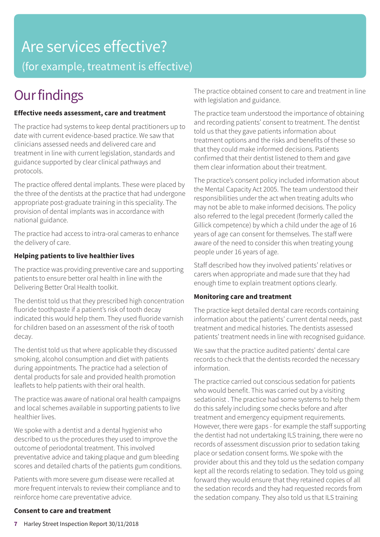# Are services effective?

(for example, treatment is effective)

### **Our findings**

#### **Effective needs assessment, care and treatment**

The practice had systems to keep dental practitioners up to date with current evidence-based practice. We saw that clinicians assessed needs and delivered care and treatment in line with current legislation, standards and guidance supported by clear clinical pathways and protocols.

The practice offered dental implants. These were placed by the three of the dentists at the practice that had undergone appropriate post-graduate training in this speciality. The provision of dental implants was in accordance with national guidance.

The practice had access to intra-oral cameras to enhance the delivery of care.

#### **Helping patients to live healthier lives**

The practice was providing preventive care and supporting patients to ensure better oral health in line with the Delivering Better Oral Health toolkit.

The dentist told us that they prescribed high concentration fluoride toothpaste if a patient's risk of tooth decay indicated this would help them. They used fluoride varnish for children based on an assessment of the risk of tooth decay.

The dentist told us that where applicable they discussed smoking, alcohol consumption and diet with patients during appointments. The practice had a selection of dental products for sale and provided health promotion leaflets to help patients with their oral health.

The practice was aware of national oral health campaigns and local schemes available in supporting patients to live healthier lives.

We spoke with a dentist and a dental hygienist who described to us the procedures they used to improve the outcome of periodontal treatment. This involved preventative advice and taking plaque and gum bleeding scores and detailed charts of the patients gum conditions.

Patients with more severe gum disease were recalled at more frequent intervals to review their compliance and to reinforce home care preventative advice.

#### **Consent to care and treatment**

The practice obtained consent to care and treatment in line with legislation and guidance.

The practice team understood the importance of obtaining and recording patients' consent to treatment. The dentist told us that they gave patients information about treatment options and the risks and benefits of these so that they could make informed decisions. Patients confirmed that their dentist listened to them and gave them clear information about their treatment.

The practice's consent policy included information about the Mental Capacity Act 2005. The team understood their responsibilities under the act when treating adults who may not be able to make informed decisions. The policy also referred to the legal precedent (formerly called the Gillick competence) by which a child under the age of 16 years of age can consent for themselves. The staff were aware of the need to consider this when treating young people under 16 years of age.

Staff described how they involved patients' relatives or carers when appropriate and made sure that they had enough time to explain treatment options clearly.

#### **Monitoring care and treatment**

The practice kept detailed dental care records containing information about the patients' current dental needs, past treatment and medical histories. The dentists assessed patients' treatment needs in line with recognised guidance.

We saw that the practice audited patients' dental care records to check that the dentists recorded the necessary information.

The practice carried out conscious sedation for patients who would benefit. This was carried out by a visiting sedationist . The practice had some systems to help them do this safely including some checks before and after treatment and emergency equipment requirements. However, there were gaps - for example the staff supporting the dentist had not undertaking ILS training, there were no records of assessment discussion prior to sedation taking place or sedation consent forms. We spoke with the provider about this and they told us the sedation company kept all the records relating to sedation. They told us going forward they would ensure that they retained copies of all the sedation records and they had requested records from the sedation company. They also told us that ILS training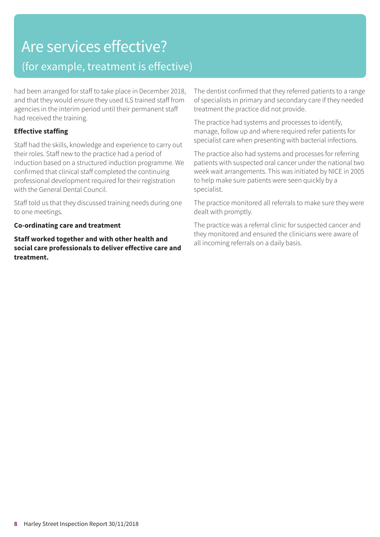### Are services effective? (for example, treatment is effective)

had been arranged for staff to take place in December 2018, and that they would ensure they used ILS trained staff from agencies in the interim period until their permanent staff had received the training.

#### **Effective staffing**

Staff had the skills, knowledge and experience to carry out their roles. Staff new to the practice had a period of induction based on a structured induction programme. We confirmed that clinical staff completed the continuing professional development required for their registration with the General Dental Council.

Staff told us that they discussed training needs during one to one meetings.

#### **Co-ordinating care and treatment**

**Staff worked together and with other health and social care professionals to deliver effective care and treatment.**

The dentist confirmed that they referred patients to a range of specialists in primary and secondary care if they needed treatment the practice did not provide.

The practice had systems and processes to identify, manage, follow up and where required refer patients for specialist care when presenting with bacterial infections.

The practice also had systems and processes for referring patients with suspected oral cancer under the national two week wait arrangements. This was initiated by NICE in 2005 to help make sure patients were seen quickly by a specialist.

The practice monitored all referrals to make sure they were dealt with promptly.

The practice was a referral clinic for suspected cancer and they monitored and ensured the clinicians were aware of all incoming referrals on a daily basis.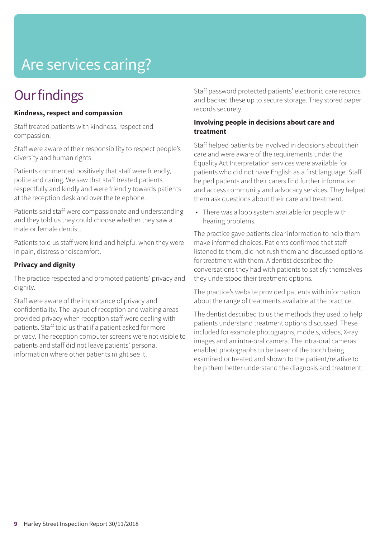## Are services caring?

### **Our findings**

#### **Kindness, respect and compassion**

Staff treated patients with kindness, respect and compassion.

Staff were aware of their responsibility to respect people's diversity and human rights.

Patients commented positively that staff were friendly, polite and caring. We saw that staff treated patients respectfully and kindly and were friendly towards patients at the reception desk and over the telephone.

Patients said staff were compassionate and understanding and they told us they could choose whether they saw a male or female dentist.

Patients told us staff were kind and helpful when they were in pain, distress or discomfort.

#### **Privacy and dignity**

The practice respected and promoted patients' privacy and dignity.

Staff were aware of the importance of privacy and confidentiality. The layout of reception and waiting areas provided privacy when reception staff were dealing with patients. Staff told us that if a patient asked for more privacy. The reception computer screens were not visible to patients and staff did not leave patients' personal information where other patients might see it.

Staff password protected patients' electronic care records and backed these up to secure storage. They stored paper records securely.

#### **Involving people in decisions about care and treatment**

Staff helped patients be involved in decisions about their care and were aware of the requirements under the Equality Act Interpretation services were available for patients who did not have English as a first language. Staff helped patients and their carers find further information and access community and advocacy services. They helped them ask questions about their care and treatment.

• There was a loop system available for people with hearing problems.

The practice gave patients clear information to help them make informed choices. Patients confirmed that staff listened to them, did not rush them and discussed options for treatment with them. A dentist described the conversations they had with patients to satisfy themselves they understood their treatment options.

The practice's website provided patients with information about the range of treatments available at the practice.

The dentist described to us the methods they used to help patients understand treatment options discussed. These included for example photographs, models, videos, X-ray images and an intra-oral camera. The intra-oral cameras enabled photographs to be taken of the tooth being examined or treated and shown to the patient/relative to help them better understand the diagnosis and treatment.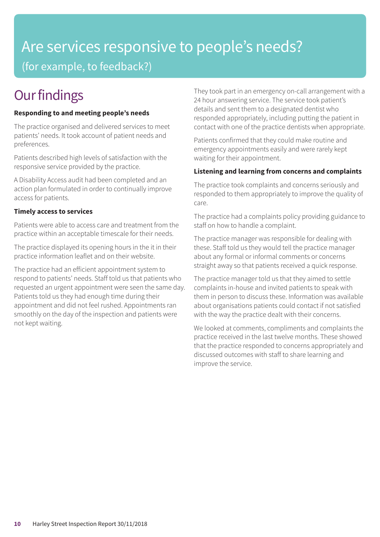### Are services responsive to people's needs? (for example, to feedback?)

### **Our findings**

#### **Responding to and meeting people's needs**

The practice organised and delivered services to meet patients' needs. It took account of patient needs and preferences.

Patients described high levels of satisfaction with the responsive service provided by the practice.

A Disability Access audit had been completed and an action plan formulated in order to continually improve access for patients.

#### **Timely access to services**

Patients were able to access care and treatment from the practice within an acceptable timescale for their needs.

The practice displayed its opening hours in the it in their practice information leaflet and on their website.

The practice had an efficient appointment system to respond to patients' needs. Staff told us that patients who requested an urgent appointment were seen the same day. Patients told us they had enough time during their appointment and did not feel rushed. Appointments ran smoothly on the day of the inspection and patients were not kept waiting.

They took part in an emergency on-call arrangement with a 24 hour answering service. The service took patient's details and sent them to a designated dentist who responded appropriately, including putting the patient in contact with one of the practice dentists when appropriate.

Patients confirmed that they could make routine and emergency appointments easily and were rarely kept waiting for their appointment.

#### **Listening and learning from concerns and complaints**

The practice took complaints and concerns seriously and responded to them appropriately to improve the quality of care.

The practice had a complaints policy providing guidance to staff on how to handle a complaint.

The practice manager was responsible for dealing with these. Staff told us they would tell the practice manager about any formal or informal comments or concerns straight away so that patients received a quick response.

The practice manager told us that they aimed to settle complaints in-house and invited patients to speak with them in person to discuss these. Information was available about organisations patients could contact if not satisfied with the way the practice dealt with their concerns.

We looked at comments, compliments and complaints the practice received in the last twelve months. These showed that the practice responded to concerns appropriately and discussed outcomes with staff to share learning and improve the service.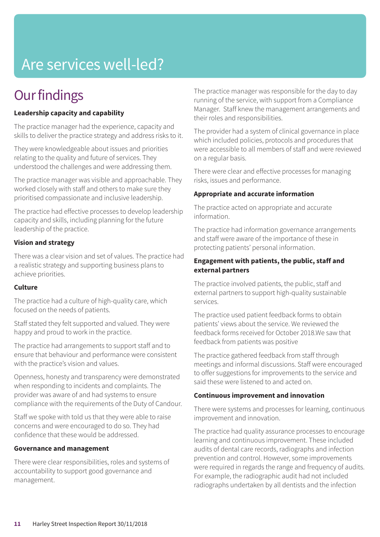## Are services well-led?

### **Our findings**

#### **Leadership capacity and capability**

The practice manager had the experience, capacity and skills to deliver the practice strategy and address risks to it.

They were knowledgeable about issues and priorities relating to the quality and future of services. They understood the challenges and were addressing them.

The practice manager was visible and approachable. They worked closely with staff and others to make sure they prioritised compassionate and inclusive leadership.

The practice had effective processes to develop leadership capacity and skills, including planning for the future leadership of the practice.

#### **Vision and strategy**

There was a clear vision and set of values. The practice had a realistic strategy and supporting business plans to achieve priorities.

#### **Culture**

The practice had a culture of high-quality care, which focused on the needs of patients.

Staff stated they felt supported and valued. They were happy and proud to work in the practice.

The practice had arrangements to support staff and to ensure that behaviour and performance were consistent with the practice's vision and values.

Openness, honesty and transparency were demonstrated when responding to incidents and complaints. The provider was aware of and had systems to ensure compliance with the requirements of the Duty of Candour.

Staff we spoke with told us that they were able to raise concerns and were encouraged to do so. They had confidence that these would be addressed.

#### **Governance and management**

There were clear responsibilities, roles and systems of accountability to support good governance and management.

The practice manager was responsible for the day to day running of the service, with support from a Compliance Manager. Staff knew the management arrangements and their roles and responsibilities.

The provider had a system of clinical governance in place which included policies, protocols and procedures that were accessible to all members of staff and were reviewed on a regular basis.

There were clear and effective processes for managing risks, issues and performance.

#### **Appropriate and accurate information**

The practice acted on appropriate and accurate information.

The practice had information governance arrangements and staff were aware of the importance of these in protecting patients' personal information.

#### **Engagement with patients, the public, staff and external partners**

The practice involved patients, the public, staff and external partners to support high-quality sustainable services.

The practice used patient feedback forms to obtain patients' views about the service. We reviewed the feedback forms received for October 2018.We saw that feedback from patients was positive

The practice gathered feedback from staff through meetings and informal discussions. Staff were encouraged to offer suggestions for improvements to the service and said these were listened to and acted on.

#### **Continuous improvement and innovation**

There were systems and processes for learning, continuous improvement and innovation.

The practice had quality assurance processes to encourage learning and continuous improvement. These included audits of dental care records, radiographs and infection prevention and control. However, some improvements were required in regards the range and frequency of audits. For example, the radiographic audit had not included radiographs undertaken by all dentists and the infection